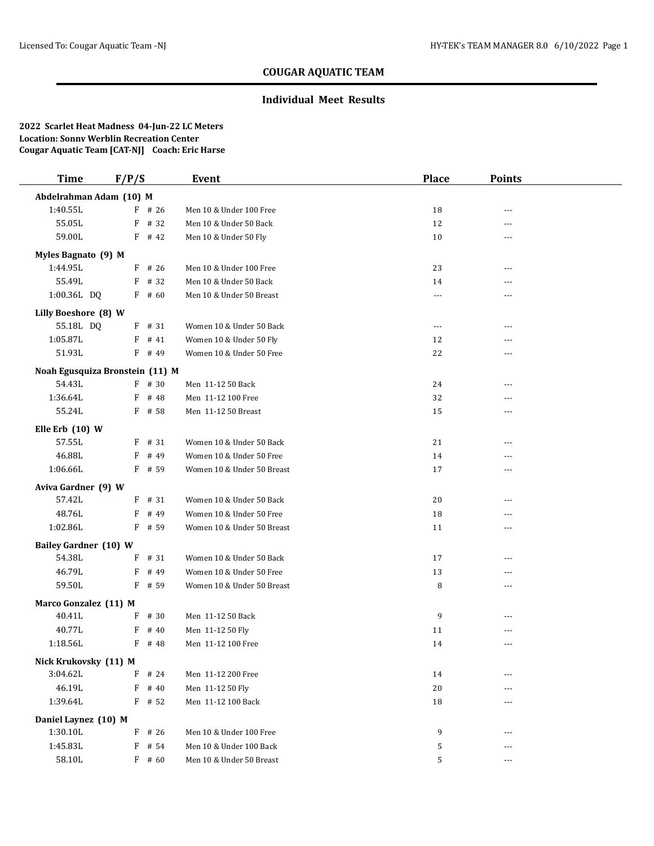## **COUGAR AQUATIC TEAM**

## **Individual Meet Results**

**2022 Scarlet Heat Madness 04-Jun-22 LC Meters Location: Sonny Werblin Recreation Center Cougar Aquatic Team [CAT-NJ] Coach: Eric Harse**

| <b>Time</b>                      | F/P/S |          | Event                      | <b>Place</b> | <b>Points</b>  |  |
|----------------------------------|-------|----------|----------------------------|--------------|----------------|--|
| Abdelrahman Adam (10) M          |       |          |                            |              |                |  |
| 1:40.55L                         |       | $F$ # 26 | Men 10 & Under 100 Free    | 18           | $\overline{a}$ |  |
| 55.05L                           |       | $F$ # 32 | Men 10 & Under 50 Back     | 12           | $- - -$        |  |
| 59.00L                           |       | $F$ # 42 | Men 10 & Under 50 Fly      | 10           | $- - -$        |  |
| Myles Bagnato (9) M              |       |          |                            |              |                |  |
| 1:44.95L                         |       | $F$ # 26 | Men 10 & Under 100 Free    | 23           | $---$          |  |
| 55.49L                           |       | $F$ # 32 | Men 10 & Under 50 Back     | 14           | ---            |  |
| 1:00.36L DQ                      |       | $F$ # 60 | Men 10 & Under 50 Breast   | ---          |                |  |
| Lilly Boeshore (8) W             |       |          |                            |              |                |  |
| 55.18L DQ                        |       | $F$ # 31 | Women 10 & Under 50 Back   | $\cdots$     | ---            |  |
| 1:05.87L                         |       | $F$ # 41 | Women 10 & Under 50 Fly    | 12           | ---            |  |
| 51.93L                           |       | F # 49   | Women 10 & Under 50 Free   | 22           | ---            |  |
| Noah Egusquiza Bronstein (11) M  |       |          |                            |              |                |  |
| 54.43L                           |       | $F$ # 30 | Men 11-12 50 Back          | 24           | ---            |  |
| 1:36.64L                         | F     | # 48     | Men 11-12 100 Free         | 32           | $- - -$        |  |
| 55.24L                           |       | $F$ # 58 | Men 11-12 50 Breast        | 15           | ---            |  |
| Elle Erb (10) W                  |       |          |                            |              |                |  |
| 57.55L                           |       | $F$ # 31 | Women 10 & Under 50 Back   | 21           | $\overline{a}$ |  |
| 46.88L                           |       | $F$ # 49 | Women 10 & Under 50 Free   | 14           | ---            |  |
| 1:06.66L                         |       | $F$ # 59 | Women 10 & Under 50 Breast | 17           | $- - -$        |  |
| Aviva Gardner (9) W              |       |          |                            |              |                |  |
| 57.42L                           |       | $F$ # 31 | Women 10 & Under 50 Back   | 20           | $- - -$        |  |
| 48.76L                           |       | F # 49   | Women 10 & Under 50 Free   | 18           | ---            |  |
| 1:02.86L                         |       | $F$ # 59 | Women 10 & Under 50 Breast | 11           | $---$          |  |
| <b>Bailey Gardner (10) W</b>     |       |          |                            |              |                |  |
| 54.38L                           |       | $F$ # 31 | Women 10 & Under 50 Back   | 17           | ---            |  |
| 46.79L                           |       | $F$ # 49 | Women 10 & Under 50 Free   | 13           | $- - -$        |  |
| 59.50L                           |       | F # 59   | Women 10 & Under 50 Breast | 8            | ---            |  |
| Marco Gonzalez (11) M            |       |          |                            |              |                |  |
| 40.41L                           |       | $F$ # 30 | Men 11-12 50 Back          | 9            | ---            |  |
| 40.77L                           | F     | # 40     | Men 11-12 50 Fly           | 11           | $---$          |  |
| 1:18.56L                         |       | F # 48   | Men 11-12 100 Free         | 14           | ---            |  |
| Nick Krukovsky (11) M            |       |          |                            |              |                |  |
| 3:04.62L                         | F     | # 24     | Men 11-12 200 Free         | 14           |                |  |
| 46.19L                           |       | $F$ # 40 | Men 11-12 50 Fly           | 20           |                |  |
| 1:39.64L                         |       | $F$ # 52 | Men 11-12 100 Back         | 18           |                |  |
|                                  |       |          |                            |              |                |  |
| Daniel Laynez (10) M<br>1:30.10L |       | $F$ # 26 | Men 10 & Under 100 Free    | 9            | ---            |  |
| 1:45.83L                         |       | $F$ # 54 | Men 10 & Under 100 Back    | 5            | ---            |  |
| 58.10L                           |       | $F$ # 60 | Men 10 & Under 50 Breast   | 5            | $---$          |  |
|                                  |       |          |                            |              |                |  |